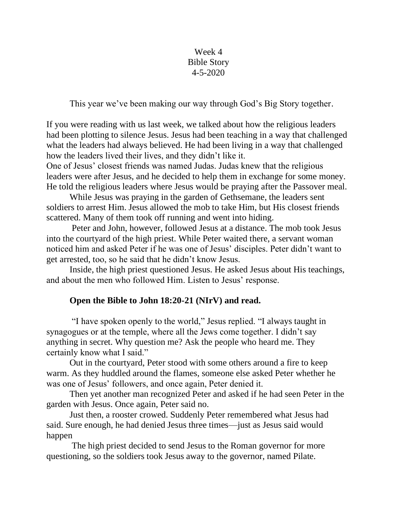Week 4 Bible Story 4-5-2020

This year we've been making our way through God's Big Story together.

If you were reading with us last week, we talked about how the religious leaders had been plotting to silence Jesus. Jesus had been teaching in a way that challenged what the leaders had always believed. He had been living in a way that challenged how the leaders lived their lives, and they didn't like it.

One of Jesus' closest friends was named Judas. Judas knew that the religious leaders were after Jesus, and he decided to help them in exchange for some money. He told the religious leaders where Jesus would be praying after the Passover meal.

While Jesus was praying in the garden of Gethsemane, the leaders sent soldiers to arrest Him. Jesus allowed the mob to take Him, but His closest friends scattered. Many of them took off running and went into hiding.

Peter and John, however, followed Jesus at a distance. The mob took Jesus into the courtyard of the high priest. While Peter waited there, a servant woman noticed him and asked Peter if he was one of Jesus' disciples. Peter didn't want to get arrested, too, so he said that he didn't know Jesus.

Inside, the high priest questioned Jesus. He asked Jesus about His teachings, and about the men who followed Him. Listen to Jesus' response.

# **Open the Bible to John 18:20-21 (NIrV) and read.**

"I have spoken openly to the world," Jesus replied. "I always taught in synagogues or at the temple, where all the Jews come together. I didn't say anything in secret. Why question me? Ask the people who heard me. They certainly know what I said."

Out in the courtyard, Peter stood with some others around a fire to keep warm. As they huddled around the flames, someone else asked Peter whether he was one of Jesus' followers, and once again, Peter denied it.

Then yet another man recognized Peter and asked if he had seen Peter in the garden with Jesus. Once again, Peter said no.

Just then, a rooster crowed. Suddenly Peter remembered what Jesus had said. Sure enough, he had denied Jesus three times—just as Jesus said would happen

The high priest decided to send Jesus to the Roman governor for more questioning, so the soldiers took Jesus away to the governor, named Pilate.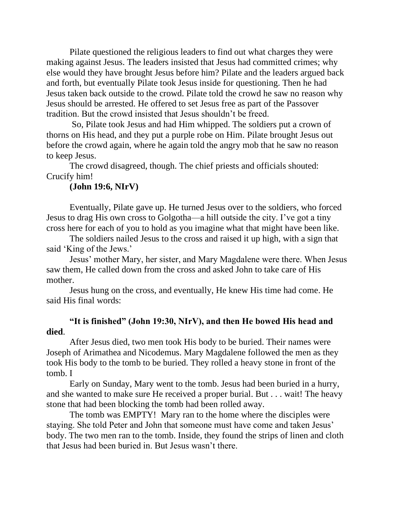Pilate questioned the religious leaders to find out what charges they were making against Jesus. The leaders insisted that Jesus had committed crimes; why else would they have brought Jesus before him? Pilate and the leaders argued back and forth, but eventually Pilate took Jesus inside for questioning. Then he had Jesus taken back outside to the crowd. Pilate told the crowd he saw no reason why Jesus should be arrested. He offered to set Jesus free as part of the Passover tradition. But the crowd insisted that Jesus shouldn't be freed.

So, Pilate took Jesus and had Him whipped. The soldiers put a crown of thorns on His head, and they put a purple robe on Him. Pilate brought Jesus out before the crowd again, where he again told the angry mob that he saw no reason to keep Jesus.

The crowd disagreed, though. The chief priests and officials shouted: Crucify him!

#### **(John 19:6, NIrV)**

Eventually, Pilate gave up. He turned Jesus over to the soldiers, who forced Jesus to drag His own cross to Golgotha—a hill outside the city. I've got a tiny cross here for each of you to hold as you imagine what that might have been like.

The soldiers nailed Jesus to the cross and raised it up high, with a sign that said 'King of the Jews.'

Jesus' mother Mary, her sister, and Mary Magdalene were there. When Jesus saw them, He called down from the cross and asked John to take care of His mother.

Jesus hung on the cross, and eventually, He knew His time had come. He said His final words:

# **"It is finished" (John 19:30, NIrV), and then He bowed His head and died**.

After Jesus died, two men took His body to be buried. Their names were Joseph of Arimathea and Nicodemus. Mary Magdalene followed the men as they took His body to the tomb to be buried. They rolled a heavy stone in front of the tomb. I

Early on Sunday, Mary went to the tomb. Jesus had been buried in a hurry, and she wanted to make sure He received a proper burial. But . . . wait! The heavy stone that had been blocking the tomb had been rolled away.

The tomb was EMPTY! Mary ran to the home where the disciples were staying. She told Peter and John that someone must have come and taken Jesus' body. The two men ran to the tomb. Inside, they found the strips of linen and cloth that Jesus had been buried in. But Jesus wasn't there.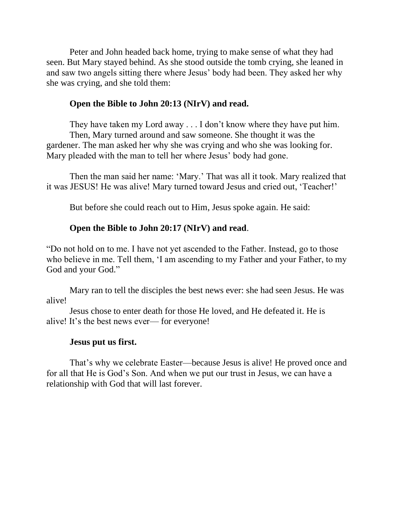Peter and John headed back home, trying to make sense of what they had seen. But Mary stayed behind. As she stood outside the tomb crying, she leaned in and saw two angels sitting there where Jesus' body had been. They asked her why she was crying, and she told them:

### **Open the Bible to John 20:13 (NIrV) and read.**

They have taken my Lord away . . . I don't know where they have put him. Then, Mary turned around and saw someone. She thought it was the gardener. The man asked her why she was crying and who she was looking for. Mary pleaded with the man to tell her where Jesus' body had gone.

Then the man said her name: 'Mary.' That was all it took. Mary realized that it was JESUS! He was alive! Mary turned toward Jesus and cried out, 'Teacher!'

But before she could reach out to Him, Jesus spoke again. He said:

# **Open the Bible to John 20:17 (NIrV) and read**.

"Do not hold on to me. I have not yet ascended to the Father. Instead, go to those who believe in me. Tell them, 'I am ascending to my Father and your Father, to my God and your God."

Mary ran to tell the disciples the best news ever: she had seen Jesus. He was alive!

Jesus chose to enter death for those He loved, and He defeated it. He is alive! It's the best news ever— for everyone!

#### **Jesus put us first.**

That's why we celebrate Easter—because Jesus is alive! He proved once and for all that He is God's Son. And when we put our trust in Jesus, we can have a relationship with God that will last forever.